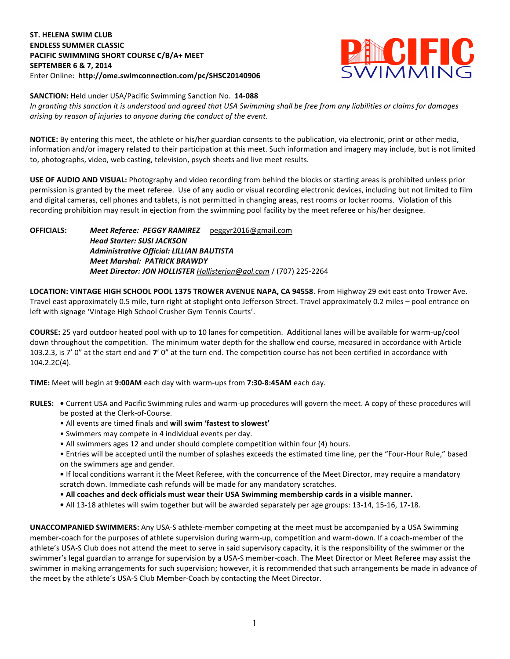## **ST. HELENA SWIM CLUB ENDLESS SUMMER CLASSIC PACIFIC SWIMMING SHORT COURSE C/B/A+ MEET SEPTEMBER 6 & 7, 2014** Enter Online: http://ome.swimconnection.com/pc/SHSC20140906



**SANCTION:** Held under USA/Pacific Swimming Sanction No. 14-088

In granting this sanction it is understood and agreed that USA Swimming shall be free from any liabilities or claims for damages arising by reason of injuries to anyone during the conduct of the event.

**NOTICE:** By entering this meet, the athlete or his/her guardian consents to the publication, via electronic, print or other media, information and/or imagery related to their participation at this meet. Such information and imagery may include, but is not limited to, photographs, video, web casting, television, psych sheets and live meet results.

**USE OF AUDIO AND VISUAL:** Photography and video recording from behind the blocks or starting areas is prohibited unless prior permission is granted by the meet referee. Use of any audio or visual recording electronic devices, including but not limited to film and digital cameras, cell phones and tablets, is not permitted in changing areas, rest rooms or locker rooms. Violation of this recording prohibition may result in ejection from the swimming pool facility by the meet referee or his/her designee.

**OFFICIALS:** *Meet Referee: PEGGY RAMIREZ*  peggyr2016@gmail.com **Head Starter: SUSI JACKSON** *Administrative Official: LILLIAN BAUTISTA Meet Marshal: PATRICK BRAWDY Meet Director: JON HOLLISTER Hollisterjon@aol.com* / (707) 225-2264

LOCATION: VINTAGE HIGH SCHOOL POOL 1375 TROWER AVENUE NAPA, CA 94558. From Highway 29 exit east onto Trower Ave. Travel east approximately 0.5 mile, turn right at stoplight onto Jefferson Street. Travel approximately 0.2 miles - pool entrance on left with signage 'Vintage High School Crusher Gym Tennis Courts'.

**COURSE:** 25 yard outdoor heated pool with up to 10 lanes for competition. Additional lanes will be available for warm-up/cool down throughout the competition. The minimum water depth for the shallow end course, measured in accordance with Article 103.2.3, is 7' 0" at the start end and 7' 0" at the turn end. The competition course has not been certified in accordance with 104.2.2C(4).

**TIME:** Meet will begin at 9:00AM each day with warm-ups from 7:30-8:45AM each day.

- RULES: . Current USA and Pacific Swimming rules and warm-up procedures will govern the meet. A copy of these procedures will be posted at the Clerk-of-Course.
	- All events are timed finals and **will swim 'fastest to slowest'**
	- Swimmers may compete in 4 individual events per day.
	- All swimmers ages 12 and under should complete competition within four (4) hours.
	- Entries will be accepted until the number of splashes exceeds the estimated time line, per the "Four-Hour Rule," based on the swimmers age and gender.

• If local conditions warrant it the Meet Referee, with the concurrence of the Meet Director, may require a mandatory scratch down. Immediate cash refunds will be made for any mandatory scratches.

- All coaches and deck officials must wear their USA Swimming membership cards in a visible manner.
- All 13-18 athletes will swim together but will be awarded separately per age groups: 13-14, 15-16, 17-18.

**UNACCOMPANIED SWIMMERS:** Any USA-S athlete-member competing at the meet must be accompanied by a USA Swimming member-coach for the purposes of athlete supervision during warm-up, competition and warm-down. If a coach-member of the athlete's USA-S Club does not attend the meet to serve in said supervisory capacity, it is the responsibility of the swimmer or the swimmer's legal guardian to arrange for supervision by a USA-S member-coach. The Meet Director or Meet Referee may assist the swimmer in making arrangements for such supervision; however, it is recommended that such arrangements be made in advance of the meet by the athlete's USA-S Club Member-Coach by contacting the Meet Director.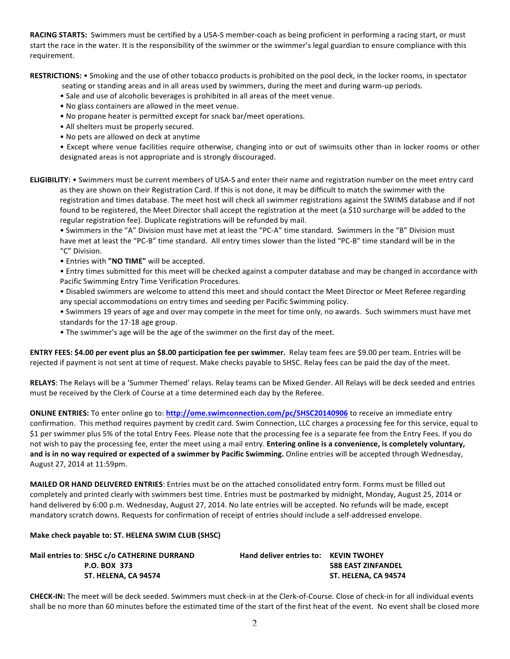**RACING STARTS:** Swimmers must be certified by a USA-S member-coach as being proficient in performing a racing start, or must start the race in the water. It is the responsibility of the swimmer or the swimmer's legal guardian to ensure compliance with this requirement.

RESTRICTIONS: • Smoking and the use of other tobacco products is prohibited on the pool deck, in the locker rooms, in spectator

seating or standing areas and in all areas used by swimmers, during the meet and during warm-up periods.

- Sale and use of alcoholic beverages is prohibited in all areas of the meet venue.
- No glass containers are allowed in the meet venue.
- No propane heater is permitted except for snack bar/meet operations.
- All shelters must be properly secured.
- No pets are allowed on deck at anytime

• Except where venue facilities require otherwise, changing into or out of swimsuits other than in locker rooms or other designated areas is not appropriate and is strongly discouraged.

**ELIGIBILITY:** • Swimmers must be current members of USA-S and enter their name and registration number on the meet entry card as they are shown on their Registration Card. If this is not done, it may be difficult to match the swimmer with the registration and times database. The meet host will check all swimmer registrations against the SWIMS database and if not found to be registered, the Meet Director shall accept the registration at the meet (a \$10 surcharge will be added to the regular registration fee). Duplicate registrations will be refunded by mail.

• Swimmers in the "A" Division must have met at least the "PC-A" time standard. Swimmers in the "B" Division must have met at least the "PC-B" time standard. All entry times slower than the listed "PC-B" time standard will be in the "C" Division. 

• Entries with "NO TIME" will be accepted.

• Entry times submitted for this meet will be checked against a computer database and may be changed in accordance with Pacific Swimming Entry Time Verification Procedures.

• Disabled swimmers are welcome to attend this meet and should contact the Meet Director or Meet Referee regarding any special accommodations on entry times and seeding per Pacific Swimming policy.

• Swimmers 19 years of age and over may compete in the meet for time only, no awards. Such swimmers must have met standards for the 17-18 age group.

• The swimmer's age will be the age of the swimmer on the first day of the meet.

**ENTRY FEES: \$4.00 per event plus an \$8.00 participation fee per swimmer.** Relay team fees are \$9.00 per team. Entries will be rejected if payment is not sent at time of request. Make checks payable to SHSC. Relay fees can be paid the day of the meet.

RELAYS: The Relays will be a 'Summer Themed' relays. Relay teams can be Mixed Gender. All Relays will be deck seeded and entries must be received by the Clerk of Course at a time determined each day by the Referee.

**ONLINE ENTRIES:** To enter online go to: **http://ome.swimconnection.com/pc/SHSC20140906** to receive an immediate entry confirmation. This method requires payment by credit card. Swim Connection, LLC charges a processing fee for this service, equal to \$1 per swimmer plus 5% of the total Entry Fees. Please note that the processing fee is a separate fee from the Entry Fees. If you do not wish to pay the processing fee, enter the meet using a mail entry. Entering online is a convenience, is completely voluntary, and is in no way required or expected of a swimmer by Pacific Swimming. Online entries will be accepted through Wednesday, August 27, 2014 at 11:59pm. 

**MAILED OR HAND DELIVERED ENTRIES**: Entries must be on the attached consolidated entry form. Forms must be filled out completely and printed clearly with swimmers best time. Entries must be postmarked by midnight, Monday, August 25, 2014 or hand delivered by 6:00 p.m. Wednesday, August 27, 2014. No late entries will be accepted. No refunds will be made, except mandatory scratch downs. Requests for confirmation of receipt of entries should include a self-addressed envelope.

## **Make check payable to: ST. HELENA SWIM CLUB (SHSC)**

| Mail entries to: SHSC c/o CATHERINE DURRAND | <b>Hand deliver entries to: KEVIN TWOHEY</b> |                           |
|---------------------------------------------|----------------------------------------------|---------------------------|
| P.O. BOX 373                                |                                              | <b>588 EAST ZINFANDEL</b> |
| ST. HELENA. CA 94574                        |                                              | ST. HELENA. CA 94574      |

**CHECK-IN:** The meet will be deck seeded. Swimmers must check-in at the Clerk-of-Course. Close of check-in for all individual events shall be no more than 60 minutes before the estimated time of the start of the first heat of the event. No event shall be closed more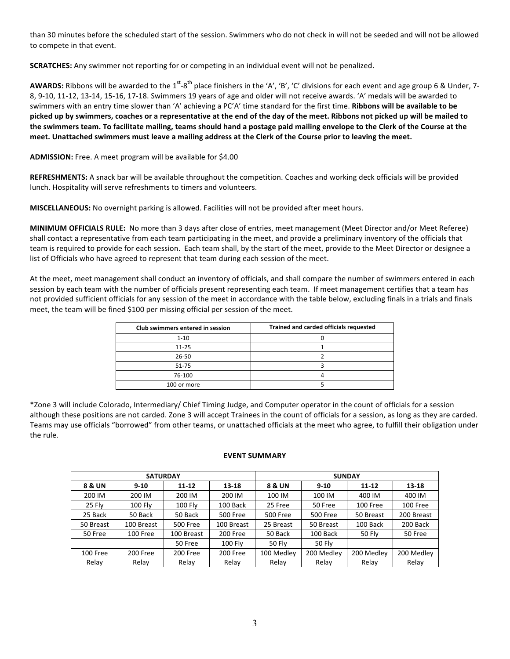than 30 minutes before the scheduled start of the session. Swimmers who do not check in will not be seeded and will not be allowed to compete in that event.

**SCRATCHES:** Any swimmer not reporting for or competing in an individual event will not be penalized.

**AWARDS:** Ribbons will be awarded to the 1<sup>st</sup>-8<sup>th</sup> place finishers in the 'A', 'B', 'C' divisions for each event and age group 6 & Under, 7-8, 9-10, 11-12, 13-14, 15-16, 17-18. Swimmers 19 years of age and older will not receive awards. 'A' medals will be awarded to swimmers with an entry time slower than 'A' achieving a PC'A' time standard for the first time. Ribbons will be available to be picked up by swimmers, coaches or a representative at the end of the day of the meet. Ribbons not picked up will be mailed to the swimmers team. To facilitate mailing, teams should hand a postage paid mailing envelope to the Clerk of the Course at the meet. Unattached swimmers must leave a mailing address at the Clerk of the Course prior to leaving the meet.

**ADMISSION:** Free. A meet program will be available for \$4.00

REFRESHMENTS: A snack bar will be available throughout the competition. Coaches and working deck officials will be provided lunch. Hospitality will serve refreshments to timers and volunteers.

**MISCELLANEOUS:** No overnight parking is allowed. Facilities will not be provided after meet hours.

**MINIMUM OFFICIALS RULE:** No more than 3 days after close of entries, meet management (Meet Director and/or Meet Referee) shall contact a representative from each team participating in the meet, and provide a preliminary inventory of the officials that team is required to provide for each session. Each team shall, by the start of the meet, provide to the Meet Director or designee a list of Officials who have agreed to represent that team during each session of the meet.

At the meet, meet management shall conduct an inventory of officials, and shall compare the number of swimmers entered in each session by each team with the number of officials present representing each team. If meet management certifies that a team has not provided sufficient officials for any session of the meet in accordance with the table below, excluding finals in a trials and finals meet, the team will be fined \$100 per missing official per session of the meet.

| Club swimmers entered in session | Trained and carded officials requested |
|----------------------------------|----------------------------------------|
| $1 - 10$                         |                                        |
| $11 - 25$                        |                                        |
| 26-50                            |                                        |
| $51 - 75$                        |                                        |
| 76-100                           |                                        |
| 100 or more                      |                                        |

\*Zone 3 will include Colorado, Intermediary/ Chief Timing Judge, and Computer operator in the count of officials for a session although these positions are not carded. Zone 3 will accept Trainees in the count of officials for a session, as long as they are carded. Teams may use officials "borrowed" from other teams, or unattached officials at the meet who agree, to fulfill their obligation under the rule.

## **EVENT SUMMARY**

|           | <b>SATURDAY</b> |                 |                 | <b>SUNDAY</b>          |                 |            |            |  |  |  |
|-----------|-----------------|-----------------|-----------------|------------------------|-----------------|------------|------------|--|--|--|
| 8 & UN    | $9-10$          | $11 - 12$       | 13-18           | 8 & UN                 | $9-10$          | $11 - 12$  | 13-18      |  |  |  |
| 200 IM    | 200 IM          | 200 IM          | 200 IM          | 100 IM<br>100 IM       |                 | 400 IM     | 400 IM     |  |  |  |
| 25 Fly    | <b>100 Fly</b>  | 100 Fly         | 100 Back        | 25 Free<br>50 Free     |                 | 100 Free   | 100 Free   |  |  |  |
| 25 Back   | 50 Back         | 50 Back         | <b>500 Free</b> | <b>500 Free</b>        | <b>500 Free</b> | 50 Breast  | 200 Breast |  |  |  |
| 50 Breast | 100 Breast      | <b>500 Free</b> | 100 Breast      | 25 Breast<br>50 Breast |                 | 100 Back   | 200 Back   |  |  |  |
| 50 Free   | 100 Free        | 100 Breast      | 200 Free        | 50 Back                | 100 Back        | 50 Fly     | 50 Free    |  |  |  |
|           |                 | 50 Free         | 100 Fly         | <b>50 Fly</b>          | 50 Fly          |            |            |  |  |  |
| 100 Free  | 200 Free        | 200 Free        | 200 Free        | 100 Medley             | 200 Medley      | 200 Medley | 200 Medley |  |  |  |
| Relay     | Relay           | Relay           | Relay           | Relay                  | Relay           | Relay      | Relay      |  |  |  |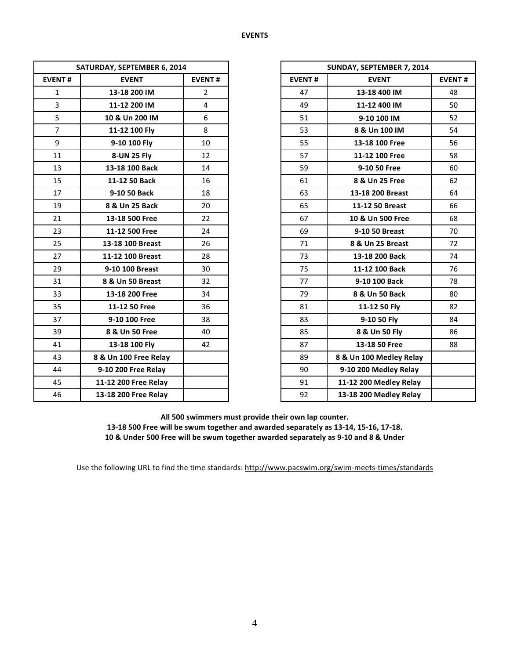| SATURDAY, SEPTEMBER 6, 2014 |                       |                | SUNDAY, SEPTEMBER 7, 2014 |                         |  |  |
|-----------------------------|-----------------------|----------------|---------------------------|-------------------------|--|--|
| <b>EVENT#</b>               | <b>EVENT</b>          | <b>EVENT#</b>  | <b>EVENT#</b>             | <b>EVENT</b>            |  |  |
| $\mathbf{1}$                | 13-18 200 IM          | $\overline{2}$ | 47                        | 13-18 400 IM            |  |  |
| $\overline{3}$              | 11-12 200 IM          | $\overline{4}$ | 49                        | 11-12 400 IM            |  |  |
| 5                           | 10 & Un 200 IM        | 6              | 51                        | 9-10 100 IM             |  |  |
| $\overline{7}$              | 11-12 100 Fly         | 8              | 53                        | 8 & Un 100 IM           |  |  |
| 9                           | 9-10 100 Fly          | 10             | 55                        | 13-18 100 Free          |  |  |
| 11                          | 8-UN 25 Fly           | 12             | 57                        | 11-12 100 Free          |  |  |
| 13                          | 13-18 100 Back        | 14             | 59                        | 9-10 50 Free            |  |  |
| 15                          | 11-12 50 Back         | 16             | 61                        | 8 & Un 25 Free          |  |  |
| 17                          | 9-10 50 Back          | 18             | 63                        | 13-18 200 Breast        |  |  |
| 19                          | 8 & Un 25 Back        | 20             | 65                        | 11-12 50 Breast         |  |  |
| 21                          | 13-18 500 Free        | 22             | 67                        | 10 & Un 500 Free        |  |  |
| 23                          | 11-12 500 Free        | 24             | 69                        | 9-10 50 Breast          |  |  |
| 25                          | 13-18 100 Breast      | 26             | 71                        | 8 & Un 25 Breast        |  |  |
| 27                          | 11-12 100 Breast      | 28             | 73                        | 13-18 200 Back          |  |  |
| 29                          | 9-10 100 Breast       | 30             | 75                        | 11-12 100 Back          |  |  |
| 31                          | 8 & Un 50 Breast      | 32             | 77                        | 9-10 100 Back           |  |  |
| 33                          | 13-18 200 Free        | 34             | 79                        | 8 & Un 50 Back          |  |  |
| 35                          | 11-12 50 Free         | 36             | 81                        | 11-12 50 Fly            |  |  |
| 37                          | 9-10 100 Free         | 38             | 83                        | 9-10 50 Fly             |  |  |
| 39                          | 8 & Un 50 Free        | 40             | 85                        | 8 & Un 50 Fly           |  |  |
| 41                          | 13-18 100 Fly         | 42             | 87                        | 13-18 50 Free           |  |  |
| 43                          | 8 & Un 100 Free Relay |                | 89                        | 8 & Un 100 Medley Relay |  |  |
| 44                          | 9-10 200 Free Relay   |                | 90                        | 9-10 200 Medley Relay   |  |  |
| 45                          | 11-12 200 Free Relay  |                | 91                        | 11-12 200 Medley Relay  |  |  |
| 46                          | 13-18 200 Free Relay  |                | 92                        | 13-18 200 Medley Relay  |  |  |

| SATURDAY, SEPTEMBER 6, 2014 |                       | SUNDAY, SEPTEMBER 7, 2014 |               |                         |    |
|-----------------------------|-----------------------|---------------------------|---------------|-------------------------|----|
| <b>EVENT#</b>               | <b>EVENT</b>          | <b>EVENT#</b>             | <b>EVENT#</b> | <b>EVENT#</b>           |    |
| $\mathbf{1}$                | 13-18 200 IM          | $\overline{2}$            | 47            | 13-18 400 IM            | 48 |
| $\overline{3}$              | 11-12 200 IM          | $\overline{4}$            | 49            | 11-12 400 IM            | 50 |
| 5                           | 10 & Un 200 IM        | 6                         | 51            | 9-10 100 IM             | 52 |
| $\overline{7}$              | 11-12 100 Fly         | 8                         | 53            | 8 & Un 100 IM           | 54 |
| 9                           | 9-10 100 Fly          | 10                        | 55            | 13-18 100 Free          | 56 |
| 11                          | 8-UN 25 Fly           | 12                        | 57            | 11-12 100 Free          | 58 |
| 13                          | 13-18 100 Back        | 14                        | 59            | 9-10 50 Free            | 60 |
| 15                          | 11-12 50 Back         | 16                        | 61            | 8 & Un 25 Free          | 62 |
| 17                          | 9-10 50 Back          | 18                        | 63            | 13-18 200 Breast        | 64 |
| 19                          | 8 & Un 25 Back        | 20                        | 65            | 11-12 50 Breast         | 66 |
| 21                          | 13-18 500 Free        | 22                        | 67            | 10 & Un 500 Free        | 68 |
| 23                          | 11-12 500 Free        | 24                        | 69            | 9-10 50 Breast          | 70 |
| 25                          | 13-18 100 Breast      | 26                        | 71            | 8 & Un 25 Breast        | 72 |
| 27                          | 11-12 100 Breast      | 28                        | 73            | 13-18 200 Back          | 74 |
| 29                          | 9-10 100 Breast       | 30                        | 75            | 11-12 100 Back          | 76 |
| 31                          | 8 & Un 50 Breast      | 32                        | 77            | 9-10 100 Back           | 78 |
| 33                          | 13-18 200 Free        | 34                        | 79            | 8 & Un 50 Back          | 80 |
| 35                          | 11-12 50 Free         | 36                        | 81            | 11-12 50 Fly            | 82 |
| 37                          | 9-10 100 Free         | 38                        | 83            | 9-10 50 Fly             | 84 |
| 39                          | 8 & Un 50 Free        | 40                        | 85            | 8 & Un 50 Fly           | 86 |
| 41                          | 13-18 100 Fly         | 42                        | 87            | 13-18 50 Free           | 88 |
| 43                          | 8 & Un 100 Free Relay |                           | 89            | 8 & Un 100 Medley Relay |    |
| 44                          | 9-10 200 Free Relay   |                           | 90            | 9-10 200 Medley Relay   |    |
| 45                          | 11-12 200 Free Relay  |                           | 91            | 11-12 200 Medley Relay  |    |
| 46                          | 13-18 200 Free Relay  |                           | 92            | 13-18 200 Medley Relay  |    |

All 500 swimmers must provide their own lap counter. 13-18 500 Free will be swum together and awarded separately as 13-14, 15-16, 17-18. 10 & Under 500 Free will be swum together awarded separately as 9-10 and 8 & Under

Use the following URL to find the time standards: http://www.pacswim.org/swim-meets-times/standards